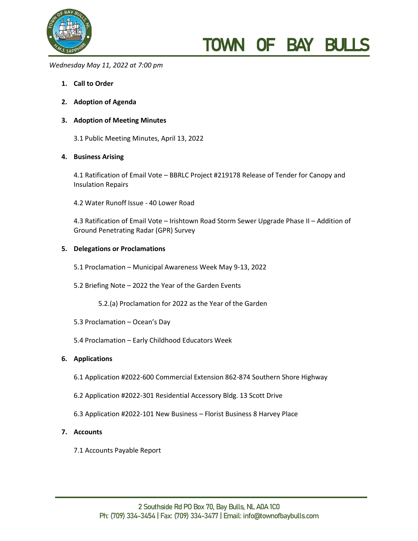

# TOWN OF BAY BU

*Wednesday May 11, 2022 at 7:00 pm* 

- **1. Call to Order**
- **2. Adoption of Agenda**

## **3. Adoption of Meeting Minutes**

3.1 Public Meeting Minutes, April 13, 2022

## **4. Business Arising**

4.1 Ratification of Email Vote – BBRLC Project #219178 Release of Tender for Canopy and Insulation Repairs

4.2 Water Runoff Issue - 40 Lower Road

4.3 Ratification of Email Vote – Irishtown Road Storm Sewer Upgrade Phase II – Addition of Ground Penetrating Radar (GPR) Survey

#### **5. Delegations or Proclamations**

- 5.1 Proclamation Municipal Awareness Week May 9-13, 2022
- 5.2 Briefing Note 2022 the Year of the Garden Events
	- 5.2.(a) Proclamation for 2022 as the Year of the Garden
- 5.3 Proclamation Ocean's Day
- 5.4 Proclamation Early Childhood Educators Week

## **6. Applications**

- 6.1 Application #2022-600 Commercial Extension 862-874 Southern Shore Highway
- 6.2 Application #2022-301 Residential Accessory Bldg. 13 Scott Drive
- 6.3 Application #2022-101 New Business Florist Business 8 Harvey Place

### **7. Accounts**

7.1 Accounts Payable Report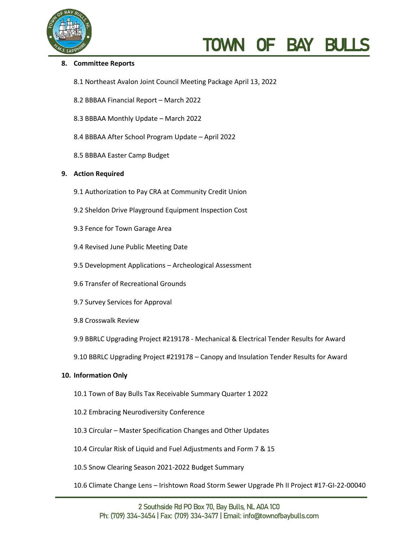

# TOWN OF BAY BU

### **8. Committee Reports**

- 8.1 Northeast Avalon Joint Council Meeting Package April 13, 2022
- 8.2 BBBAA Financial Report March 2022
- 8.3 BBBAA Monthly Update March 2022
- 8.4 BBBAA After School Program Update April 2022
- 8.5 BBBAA Easter Camp Budget

#### **9. Action Required**

- 9.1 Authorization to Pay CRA at Community Credit Union
- 9.2 Sheldon Drive Playground Equipment Inspection Cost
- 9.3 Fence for Town Garage Area
- 9.4 Revised June Public Meeting Date
- 9.5 Development Applications Archeological Assessment
- 9.6 Transfer of Recreational Grounds
- 9.7 Survey Services for Approval
- 9.8 Crosswalk Review
- 9.9 BBRLC Upgrading Project #219178 Mechanical & Electrical Tender Results for Award
- 9.10 BBRLC Upgrading Project #219178 Canopy and Insulation Tender Results for Award

#### **10. Information Only**

- 10.1 Town of Bay Bulls Tax Receivable Summary Quarter 1 2022
- 10.2 Embracing Neurodiversity Conference
- 10.3 Circular Master Specification Changes and Other Updates
- 10.4 Circular Risk of Liquid and Fuel Adjustments and Form 7 & 15
- 10.5 Snow Clearing Season 2021-2022 Budget Summary
- 10.6 Climate Change Lens Irishtown Road Storm Sewer Upgrade Ph II Project #17-GI-22-00040